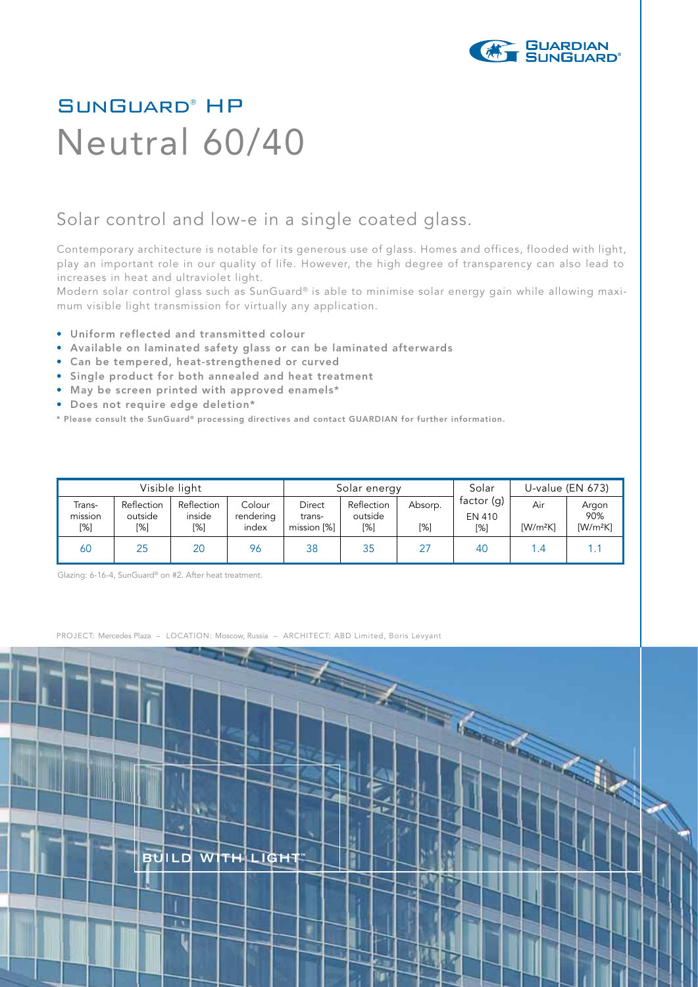

## SunGuard® HP Neutral 60/40

## Solar control and low-e in a single coated glass.

Contemporary architecture is notable for its generous use of glass. Homes and offices, flooded with light, play an important role in our quality of life. However, the high degree of transparency can also lead to increases in heat and ultraviolet light.

Modern solar control glass such as SunGuard® is able to minimise solar energy gain while allowing maximum visible light transmission for virtually any application.

- Uniform reflected and transmitted colour
- Available on laminated safety glass or can be laminated afterwards
- Can be tempered, heat-strengthened or curved
- Single product for both annealed and heat treatment
- May be screen printed with approved enamels\*
- Does not require edge deletion\*
- \* Please consult the SunGuard® processing directives and contact GUARDIAN for further information.

| Visible light            |                              |                             |                              | Solar energy                    |                              |                | Solar                         | U-value (EN 673)                           |                            |
|--------------------------|------------------------------|-----------------------------|------------------------------|---------------------------------|------------------------------|----------------|-------------------------------|--------------------------------------------|----------------------------|
| Trans-<br>mission<br>[%] | Reflection<br>outside<br>[%] | Reflection<br>inside<br>[%] | Colour<br>rendering<br>index | Direct<br>trans-<br>mission [%] | Reflection<br>outside<br>[%] | Absorp.<br>[%] | factor $(q)$<br>EN 410<br>[%] | Air<br>$\left[\text{W/m}^2\text{K}\right]$ | Argon<br>90%<br>$[W/m^2K]$ |
| 60                       | 25                           | 20                          | 96                           | 38                              | 35                           | 27             | 40                            | 1.4                                        |                            |

Glazing: 6-16-4, SunGuard® on #2. After heat treatment.

PROJECT: Mercedes Plaza – LOCATION: Moscow, Russia – ARCHITECT: ABD Limited, Boris Levyant

**BUILD** WITH LIGHT

٩ħ

≂